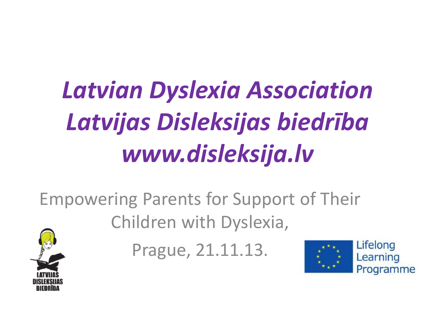# *Latvian Dyslexia Association Latvijas Disleksijas biedrība www.disleksija.lv*

Empowering Parents for Support of Their Children with Dyslexia,

Prague, 21.11.13.



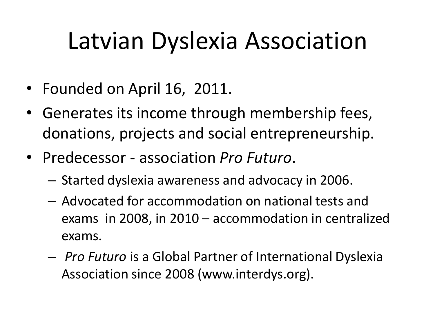#### Latvian Dyslexia Association

- Founded on April 16, 2011.
- Generates its income through membership fees, donations, projects and social entrepreneurship.
- Predecessor association *Pro Futuro*.
	- Started dyslexia awareness and advocacy in 2006.
	- Advocated for accommodation on national tests and exams in 2008, in 2010 – accommodation in centralized exams.
	- *Pro Futuro* is a Global Partner of International Dyslexia Association since 2008 (www.interdys.org).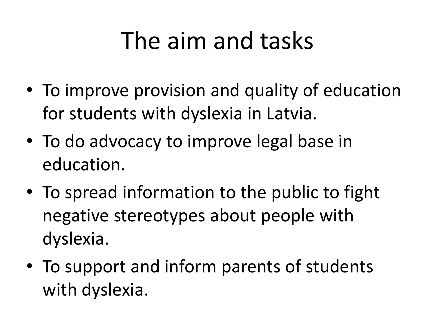#### The aim and tasks

- To improve provision and quality of education for students with dyslexia in Latvia.
- To do advocacy to improve legal base in education.
- To spread information to the public to fight negative stereotypes about people with dyslexia.
- To support and inform parents of students with dyslexia.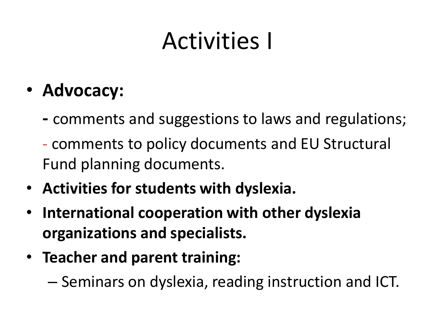#### Activities I

#### • **Advocacy:**

- **-** comments and suggestions to laws and regulations;
- comments to policy documents and EU Structural Fund planning documents.
- **Activities for students with dyslexia.**
- **International cooperation with other dyslexia organizations and specialists.**
- **Teacher and parent training:**

– Seminars on dyslexia, reading instruction and ICT.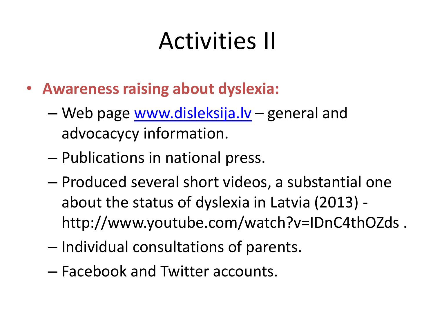### Activities II

- **Awareness raising about dyslexia:**
	- Web page [www.disleksija.lv](http://www.disleksija.lv/) general and advocacycy information.
	- Publications in national press.
	- Produced several short videos, a substantial one about the status of dyslexia in Latvia (2013) http://www.youtube.com/watch?v=IDnC4thOZds .
	- Individual consultations of parents.
	- Facebook and Twitter accounts.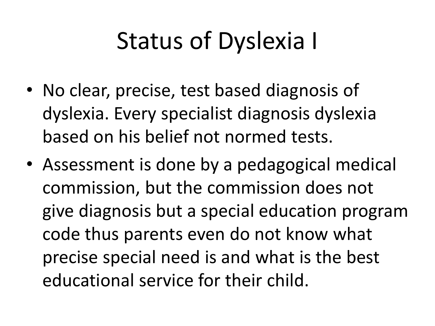### Status of Dyslexia I

- No clear, precise, test based diagnosis of dyslexia. Every specialist diagnosis dyslexia based on his belief not normed tests.
- Assessment is done by a pedagogical medical commission, but the commission does not give diagnosis but a special education program code thus parents even do not know what precise special need is and what is the best educational service for their child.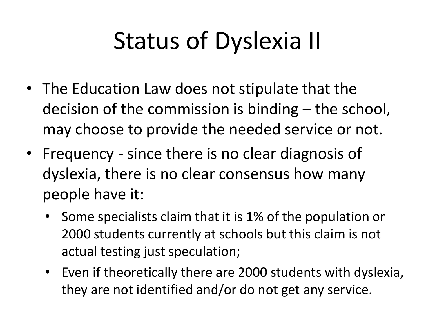# Status of Dyslexia II

- The Education Law does not stipulate that the decision of the commission is binding – the school, may choose to provide the needed service or not.
- Frequency since there is no clear diagnosis of dyslexia, there is no clear consensus how many people have it:
	- Some specialists claim that it is 1% of the population or 2000 students currently at schools but this claim is not actual testing just speculation;
	- Even if theoretically there are 2000 students with dyslexia, they are not identified and/or do not get any service.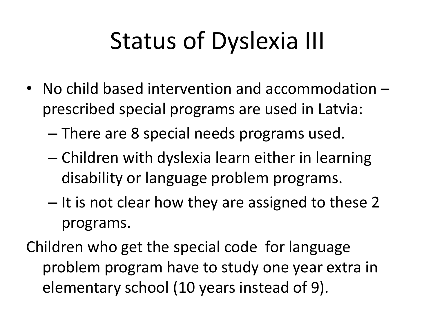# Status of Dyslexia III

- No child based intervention and accommodation prescribed special programs are used in Latvia:
	- There are 8 special needs programs used.
	- Children with dyslexia learn either in learning disability or language problem programs.
	- It is not clear how they are assigned to these 2 programs.
- Children who get the special code for language problem program have to study one year extra in elementary school (10 years instead of 9).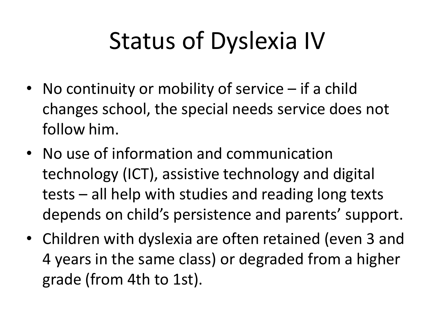# Status of Dyslexia IV

- No continuity or mobility of service if a child changes school, the special needs service does not follow him.
- No use of information and communication technology (ICT), assistive technology and digital tests – all help with studies and reading long texts depends on child's persistence and parents' support.
- Children with dyslexia are often retained (even 3 and 4 years in the same class) or degraded from a higher grade (from 4th to 1st).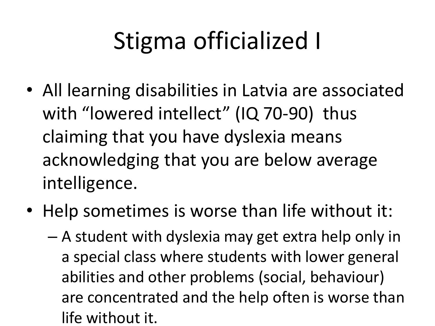# Stigma officialized I

- All learning disabilities in Latvia are associated with "lowered intellect" (IQ 70-90) thus claiming that you have dyslexia means acknowledging that you are below average intelligence.
- Help sometimes is worse than life without it:
	- A student with dyslexia may get extra help only in a special class where students with lower general abilities and other problems (social, behaviour) are concentrated and the help often is worse than life without it.